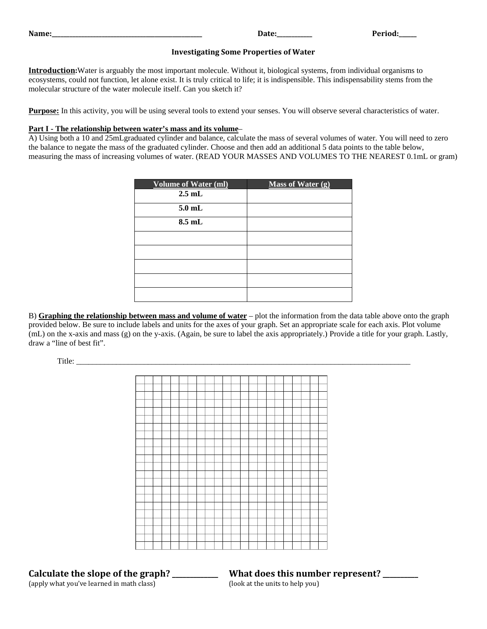| Name<br>_______________ | vu. |
|-------------------------|-----|
|                         |     |

### **Investigating Some Properties of Water**

**Introduction:**Water is arguably the most important molecule. Without it, biological systems, from individual organisms to ecosystems, could not function, let alone exist. It is truly critical to life; it is indispensible. This indispensability stems from the molecular structure of the water molecule itself. Can you sketch it?

**Purpose:** In this activity, you will be using several tools to extend your senses. You will observe several characteristics of water.

### **Part I - The relationship between water's mass and its volume** –

A) Using both a 10 and 25mLgraduated cylinder and balance, calculate the mass of several volumes of water. You will need to zero the balance to negate the mass of the graduated cylinder. Choose and then add an additional 5 data points to the table below, measuring the mass of increasing volumes of water. (READ YOUR MASSES AND VOLUMES TO THE NEAREST 0.1mL or gram)

| <b>Volume of Water (ml)</b> | Mass of Water (g) |
|-----------------------------|-------------------|
| $2.5$ mL                    |                   |
| $5.0$ mL                    |                   |
| $8.5$ mL                    |                   |
|                             |                   |
|                             |                   |
|                             |                   |
|                             |                   |
|                             |                   |

B) **Graphing the relationship between mass and volume of water** – plot the information from the data table above onto the graph provided below. Be sure to include labels and units for the axes of your graph. Set an appropriate scale for each axis. Plot volume (mL) on the x-axis and mass (g) on the y-axis. (Again, be sure to label the axis appropriately.) Provide a title for your graph. Lastly, draw a "line of best fit".

Title: \_\_\_\_\_\_\_\_\_\_\_\_\_\_\_\_\_\_\_\_\_\_\_\_\_\_\_\_\_\_\_\_\_\_\_\_\_\_\_\_\_\_\_\_\_\_\_\_\_\_\_\_\_\_\_\_\_\_\_\_\_\_\_\_\_\_\_\_\_\_\_\_\_\_\_\_\_\_\_\_\_\_\_\_



**Calculate the slope of the graph? \_\_\_\_\_\_\_\_\_\_\_\_\_ What does this number represent? \_\_\_\_\_\_\_\_\_\_** (apply what you've learned in math class)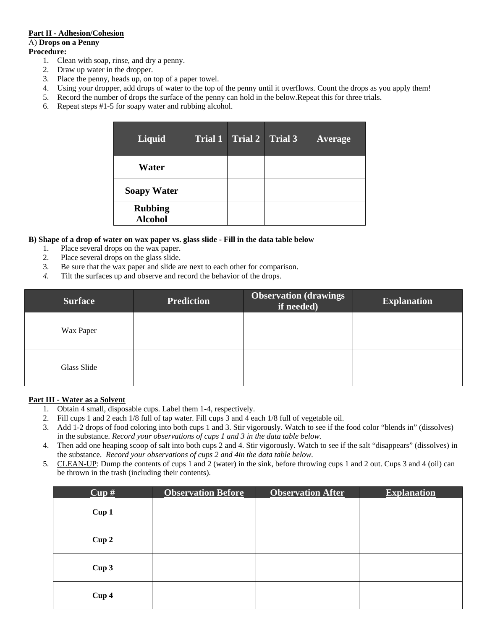# **Part II - Adhesion/Cohesion**

# A) **Drops on a Penny**

## **Procedure:**

- 1. Clean with soap, rinse, and dry a penny.
- 2. Draw up water in the dropper.
- 3. Place the penny, heads up, on top of a paper towel.
- 4. Using your dropper, add drops of water to the top of the penny until it overflows. Count the drops as you apply them!
- 5. Record the number of drops the surface of the penny can hold in the below.Repeat this for three trials.
- 6. Repeat steps #1-5 for soapy water and rubbing alcohol.

| <b>Liquid</b>                    | Trial 1 Trial 2 Trial 3 | <b>Average</b> |
|----------------------------------|-------------------------|----------------|
| Water                            |                         |                |
| <b>Soapy Water</b>               |                         |                |
| <b>Rubbing</b><br><b>Alcohol</b> |                         |                |

### **B) Shape of a drop of water on wax paper vs. glass slide - Fill in the data table below**

- 1. Place several drops on the wax paper.
- 2. Place several drops on the glass slide.
- 3. Be sure that the wax paper and slide are next to each other for comparison.
- *4.* Tilt the surfaces up and observe and record the behavior of the drops.

| <b>Surface</b> | <b>Prediction</b> | <b>Observation (drawings)</b><br>if needed) | <b>Explanation</b> |
|----------------|-------------------|---------------------------------------------|--------------------|
| Wax Paper      |                   |                                             |                    |
| Glass Slide    |                   |                                             |                    |

### **Part III - Water as a Solvent**

- 1. Obtain 4 small, disposable cups. Label them 1-4, respectively.
- 2. Fill cups 1 and 2 each 1/8 full of tap water. Fill cups 3 and 4 each 1/8 full of vegetable oil.
- 3. Add 1-2 drops of food coloring into both cups 1 and 3. Stir vigorously. Watch to see if the food color "blends in" (dissolves) in the substance. *Record your observations of cups 1 and 3 in the data table below.*
- 4. Then add one heaping scoop of salt into both cups 2 and 4. Stir vigorously. Watch to see if the salt "disappears" (dissolves) in the substance. *Record your observations of cups 2 and 4in the data table below.*
- 5. CLEAN-UP: Dump the contents of cups 1 and 2 (water) in the sink, before throwing cups 1 and 2 out. Cups 3 and 4 (oil) can be thrown in the trash (including their contents).

| $Cup \#$         | <b>Observation Before</b> | <b>Observation After</b> | <b>Explanation</b> |
|------------------|---------------------------|--------------------------|--------------------|
| Cup1             |                           |                          |                    |
| Cup2             |                           |                          |                    |
| Cup <sub>3</sub> |                           |                          |                    |
| Cup 4            |                           |                          |                    |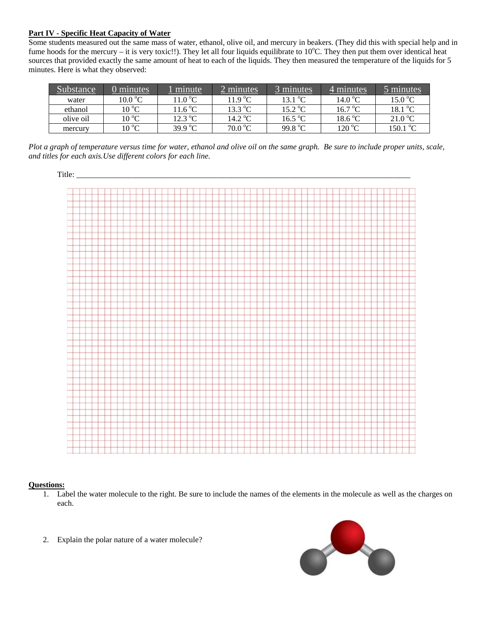# **Part IV - Specific Heat Capacity of Water**

Some students measured out the same mass of water, ethanol, olive oil, and mercury in beakers. (They did this with special help and in fume hoods for the mercury – it is very toxic!!). They let all four liquids equilibrate to 10°C. They then put them over identical heat sources that provided exactly the same amount of heat to each of the liquids. They then measured the temperature of the liquids for 5 minutes. Here is what they observed:

| Substance | 0 minutes      | minute                    | 2 minutes         | 3 minutes           | 4 minutes         | minutes            |
|-----------|----------------|---------------------------|-------------------|---------------------|-------------------|--------------------|
| water     | 10.0 °C        | 11.0 $^{\circ}$ C.        | 11.9 °C           | 13.1 <sup>o</sup> C | 14.0 $^{\circ}$ C | 15.0 °C            |
| ethanol   | $10^{\circ}$ C | 11.6 $\mathrm{^{\circ}C}$ | $13.3 \text{ °C}$ | 15.2 °C             | 16.7 °C           | 18.1 °C            |
| olive oil | $10^{\circ}$ C | 12.3 °C                   | 14.2 $^{\circ}$ C | $16.5\,\mathrm{°C}$ | $18.6\text{ °C}$  | 21.0 °C            |
| mercury   | 10 °C          | 39.9 °C                   | 70.0 °C           | 99.8 °C             | $120\text{ °C}$   | 150.1 $^{\circ}$ C |

*Plot a graph of temperature versus time for water, ethanol and olive oil on the same graph. Be sure to include proper units, scale, and titles for each axis.Use different colors for each line.*



### **Questions:**

- 1. Label the water molecule to the right. Be sure to include the names of the elements in the molecule as well as the charges on each.
- 2. Explain the polar nature of a water molecule?